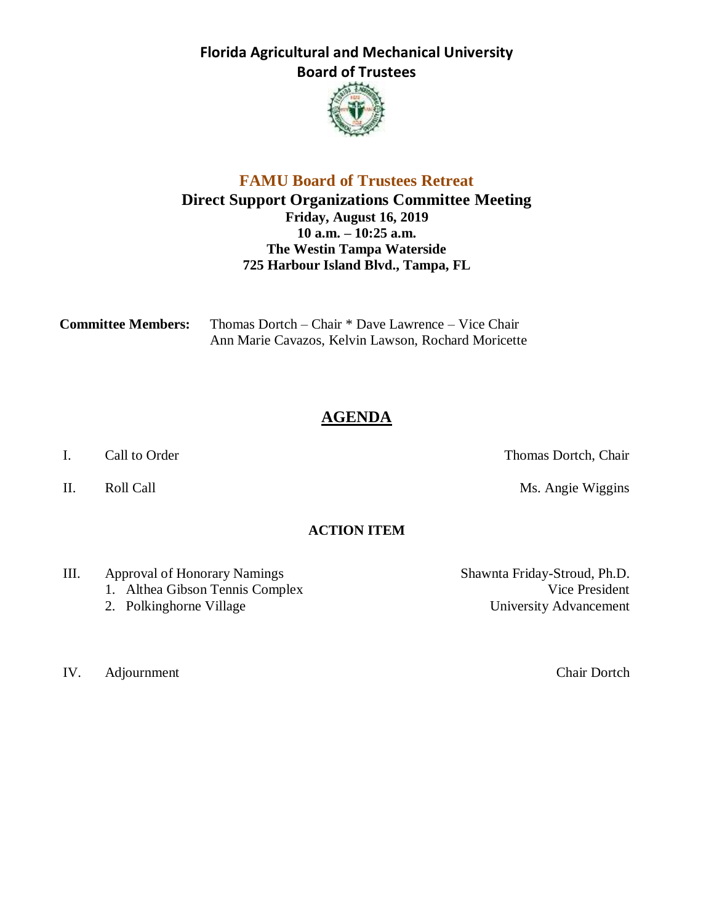**Florida Agricultural and Mechanical University Board of Trustees**



## **FAMU Board of Trustees Retreat Direct Support Organizations Committee Meeting Friday, August 16, 2019 10 a.m. – 10:25 a.m. The Westin Tampa Waterside 725 Harbour Island Blvd., Tampa, FL**

| <b>Committee Members:</b> | Thomas Dortch – Chair * Dave Lawrence – Vice Chair  |  |
|---------------------------|-----------------------------------------------------|--|
|                           | Ann Marie Cavazos, Kelvin Lawson, Rochard Moricette |  |

# **AGENDA**

I. Call to Order Thomas Dortch, Chair

II. Roll Call **Nights** Roll Call **Ms.** Angie Wiggins

### **ACTION ITEM**

- III. Approval of Honorary Namings Shawnta Friday-Stroud, Ph.D.
	- 1. Althea Gibson Tennis Complex Vice President
	-

IV. Adjournment Chair Dortch

2. Polkinghorne Village University Advancement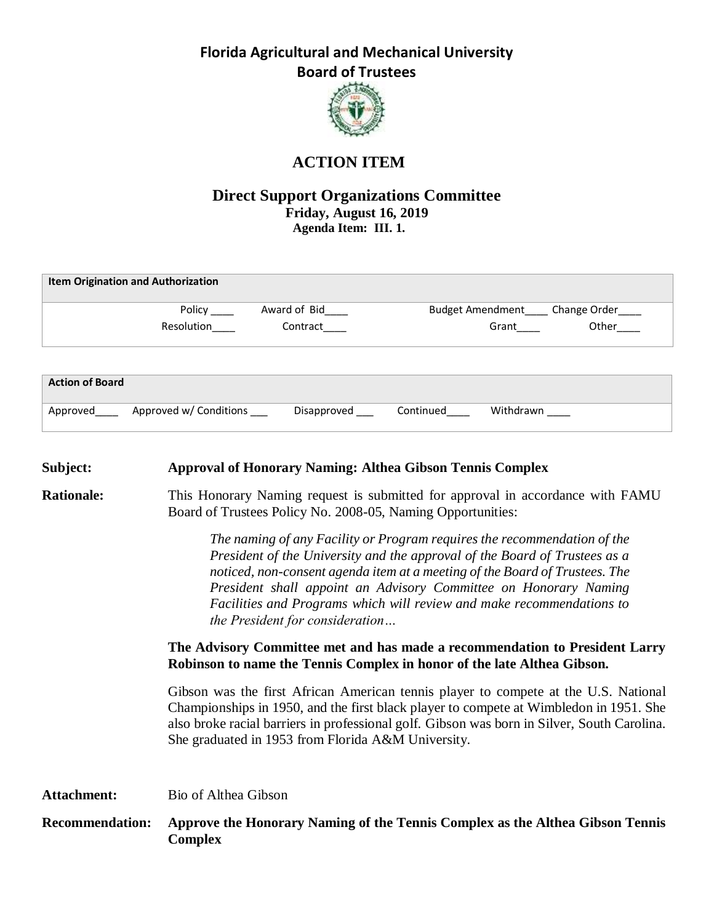**Florida Agricultural and Mechanical University Board of Trustees**



## **ACTION ITEM**

### **Direct Support Organizations Committee Friday, August 16, 2019 Agenda Item: III. 1.**

| <b>Item Origination and Authorization</b> |                        |              |                         |           |              |
|-------------------------------------------|------------------------|--------------|-------------------------|-----------|--------------|
|                                           | Policy                 | Award of Bid | <b>Budget Amendment</b> |           | Change Order |
|                                           | Resolution             | Contract     |                         | Grant     | Other        |
|                                           |                        |              |                         |           |              |
|                                           |                        |              |                         |           |              |
| <b>Action of Board</b>                    |                        |              |                         |           |              |
|                                           |                        |              |                         |           |              |
| Approved                                  | Approved w/ Conditions | Disapproved  | Continued               | Withdrawn |              |

| Subject:               | <b>Approval of Honorary Naming: Althea Gibson Tennis Complex</b>                                                                                                                                                                                                                                                                                                                                                      |  |  |  |
|------------------------|-----------------------------------------------------------------------------------------------------------------------------------------------------------------------------------------------------------------------------------------------------------------------------------------------------------------------------------------------------------------------------------------------------------------------|--|--|--|
| <b>Rationale:</b>      | This Honorary Naming request is submitted for approval in accordance with FAMU<br>Board of Trustees Policy No. 2008-05, Naming Opportunities:                                                                                                                                                                                                                                                                         |  |  |  |
|                        | The naming of any Facility or Program requires the recommendation of the<br>President of the University and the approval of the Board of Trustees as a<br>noticed, non-consent agenda item at a meeting of the Board of Trustees. The<br>President shall appoint an Advisory Committee on Honorary Naming<br>Facilities and Programs which will review and make recommendations to<br>the President for consideration |  |  |  |
|                        | The Advisory Committee met and has made a recommendation to President Larry<br>Robinson to name the Tennis Complex in honor of the late Althea Gibson.                                                                                                                                                                                                                                                                |  |  |  |
|                        | Gibson was the first African American tennis player to compete at the U.S. National<br>Championships in 1950, and the first black player to compete at Wimbledon in 1951. She<br>also broke racial barriers in professional golf. Gibson was born in Silver, South Carolina.<br>She graduated in 1953 from Florida A&M University.                                                                                    |  |  |  |
| <b>Attachment:</b>     | Bio of Althea Gibson                                                                                                                                                                                                                                                                                                                                                                                                  |  |  |  |
| <b>Recommendation:</b> | Approve the Honorary Naming of the Tennis Complex as the Althea Gibson Tennis<br><b>Complex</b>                                                                                                                                                                                                                                                                                                                       |  |  |  |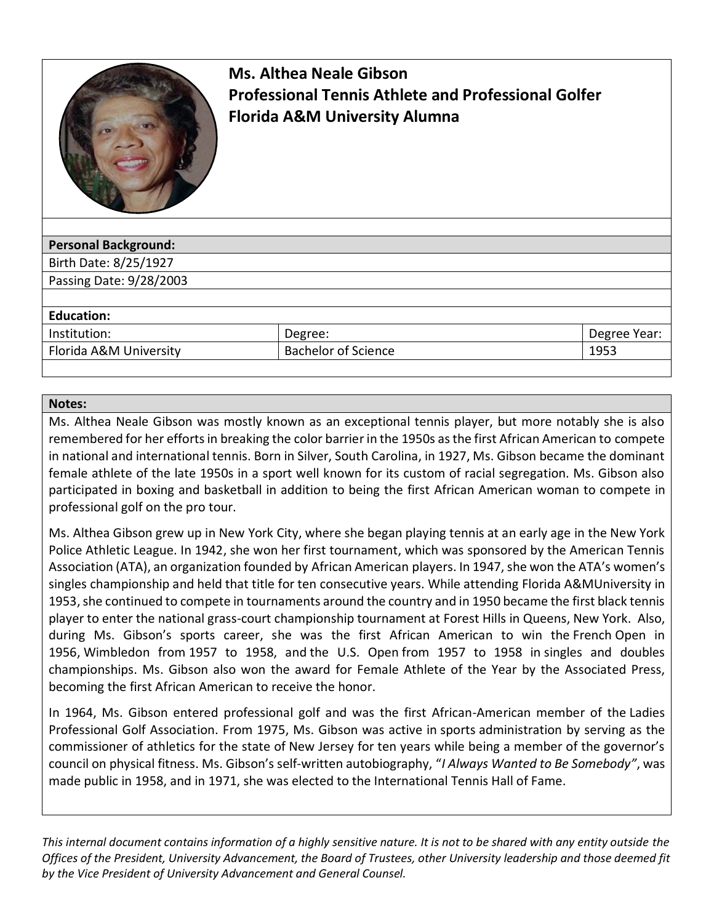

# **Ms. Althea Neale Gibson Professional Tennis Athlete and Professional Golfer Florida A&M University Alumna**

| <b>Personal Background:</b> |                            |              |
|-----------------------------|----------------------------|--------------|
| Birth Date: 8/25/1927       |                            |              |
| Passing Date: 9/28/2003     |                            |              |
|                             |                            |              |
| <b>Education:</b>           |                            |              |
| Institution:                | Degree:                    | Degree Year: |
| Florida A&M University      | <b>Bachelor of Science</b> | 1953         |
|                             |                            |              |

### **Notes:**

Ms. Althea Neale Gibson was mostly known as an exceptional tennis player, but more notably she is also remembered for her efforts in breaking the color barrier in the 1950s as the first African American to compete in national and international tennis. Born in Silver, South Carolina, in 1927, Ms. Gibson became the dominant female athlete of the late 1950s in a sport well known for its custom of racial segregation. Ms. Gibson also participated in boxing and basketball in addition to being the first African American woman to compete in professional golf on the pro tour.

Ms. Althea Gibson grew up in [New York City,](https://www.britannica.com/place/New-York-City) where she began playing tennis at an early age in the New York Police Athletic League. In 1942, she won her first tournament, which was sponsored by the American Tennis Association (ATA), an organization founded by [African American](https://www.britannica.com/topic/African-American) players. In 1947, she won the ATA's women's singles championship and held that title for ten consecutive years. While attending [Florida A&MUniversity](https://www.britannica.com/topic/Florida-Agricultural-and-Mechanical-University) in 1953, she continued to compete in tournaments around the country and in 1950 became the first black tennis player to enter the national grass-court championship tournament at [Forest Hills](https://www.britannica.com/place/Forest-Hills) in [Queens,](https://www.britannica.com/place/Queens-New-York) [New York.](https://www.britannica.com/place/New-York-state) Also, during Ms. Gibson's sports career, she was the first African American to win the [French](https://www.britannica.com/sports/French-Open) Open in 1956, [Wimbledon](https://www.britannica.com/sports/Wimbledon-Championships) from 1957 to 1958, and the [U.S. Open](https://www.britannica.com/sports/US-Open-tennis) from 1957 to 1958 in [singles and doubles](https://www.britannica.com/sports/US-Open-tennis)  [championships.](https://www.britannica.com/sports/US-Open-tennis) Ms. Gibson also won the award for Female Athlete of the Year by the Associated Press, becoming the first African American to receive the honor.

In 1964, Ms. Gibson entered professional golf and was the first African-American member of the [Ladies](https://www.britannica.com/topic/Ladies-Professional-Golf-Association)  [Professional Golf Association.](https://www.britannica.com/topic/Ladies-Professional-Golf-Association) From 1975, Ms. Gibson was active in [sports](https://www.britannica.com/sports/sports) administration by serving as the commissioner of athletics for the state of [New Jersey](https://www.britannica.com/place/New-Jersey) for ten years while being a member of the governor's council on physical fitness. Ms. Gibson's self-written autobiography, "*I Always Wanted to Be Somebody"*, was made public in 1958, and in 1971, she was elected to the International Tennis Hall of Fame.

*This internal document contains information of a highly sensitive nature. It is not to be shared with any entity outside the Offices of the President, University Advancement, the Board of Trustees, other University leadership and those deemed fit by the Vice President of University Advancement and General Counsel.*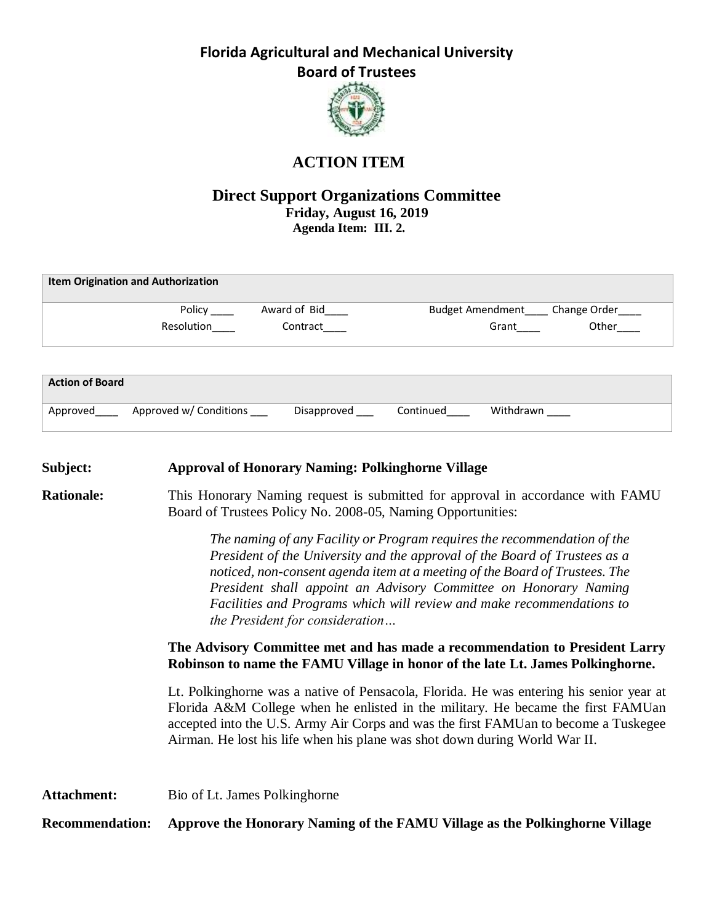**Florida Agricultural and Mechanical University Board of Trustees**



# **ACTION ITEM**

### **Direct Support Organizations Committee Friday, August 16, 2019 Agenda Item: III. 2.**

| <b>Item Origination and Authorization</b> |                        |              |                         |              |
|-------------------------------------------|------------------------|--------------|-------------------------|--------------|
|                                           | Policy                 | Award of Bid | <b>Budget Amendment</b> | Change Order |
|                                           | Resolution             | Contract     | Grant                   | Other        |
|                                           |                        |              |                         |              |
|                                           |                        |              |                         |              |
| <b>Action of Board</b>                    |                        |              |                         |              |
| Approved                                  | Approved w/ Conditions | Disapproved  | Withdrawn<br>Continued  |              |

| Subject:               | <b>Approval of Honorary Naming: Polkinghorne Village</b>                                                                                                                                                                                                                                                                                                                                                                                                                                                                                                                               |  |  |
|------------------------|----------------------------------------------------------------------------------------------------------------------------------------------------------------------------------------------------------------------------------------------------------------------------------------------------------------------------------------------------------------------------------------------------------------------------------------------------------------------------------------------------------------------------------------------------------------------------------------|--|--|
| <b>Rationale:</b>      | This Honorary Naming request is submitted for approval in accordance with FAMU<br>Board of Trustees Policy No. 2008-05, Naming Opportunities:                                                                                                                                                                                                                                                                                                                                                                                                                                          |  |  |
|                        | The naming of any Facility or Program requires the recommendation of the<br>President of the University and the approval of the Board of Trustees as a<br>noticed, non-consent agenda item at a meeting of the Board of Trustees. The<br>President shall appoint an Advisory Committee on Honorary Naming<br>Facilities and Programs which will review and make recommendations to<br>the President for consideration<br>The Advisory Committee met and has made a recommendation to President Larry<br>Robinson to name the FAMU Village in honor of the late Lt. James Polkinghorne. |  |  |
|                        | Lt. Polkinghorne was a native of Pensacola, Florida. He was entering his senior year at<br>Florida A&M College when he enlisted in the military. He became the first FAMUan<br>accepted into the U.S. Army Air Corps and was the first FAMUan to become a Tuskegee<br>Airman. He lost his life when his plane was shot down during World War II.                                                                                                                                                                                                                                       |  |  |
| <b>Attachment:</b>     | Bio of Lt. James Polkinghorne                                                                                                                                                                                                                                                                                                                                                                                                                                                                                                                                                          |  |  |
| <b>Recommendation:</b> | Approve the Honorary Naming of the FAMU Village as the Polkinghorne Village                                                                                                                                                                                                                                                                                                                                                                                                                                                                                                            |  |  |